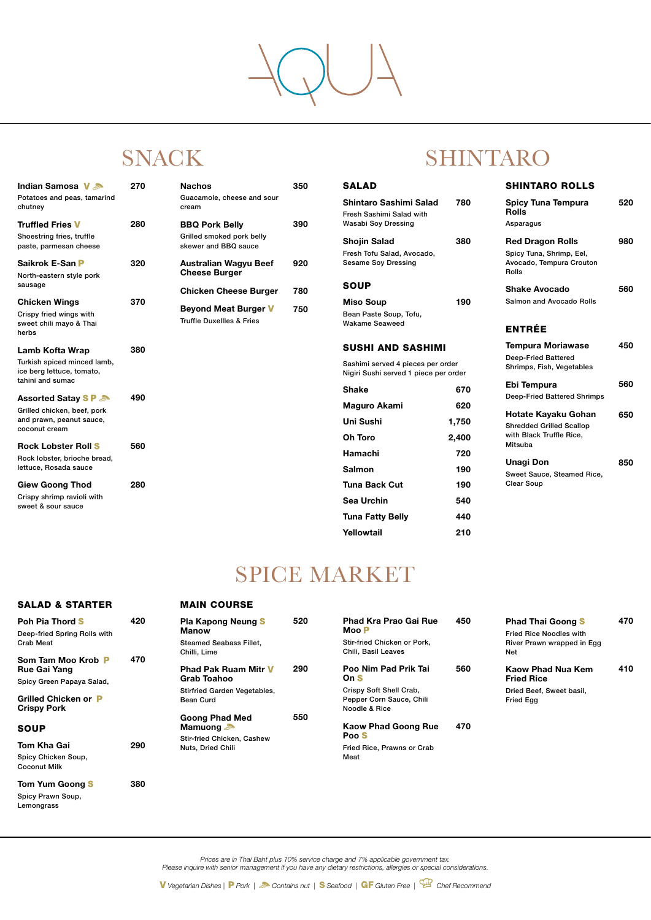*Prices are in Thai Baht plus 10% service charge and 7% applicable government tax. Please inquire with senior management if you have any dietary restrictions, allergies or special considerations.*

*V* Vegetarian Dishes | P Pork | Contains nut | S Seafood | GF Gluten Free | <sup>CH</sup> Chef Recommend

## SPICE MARKET

| <b>SALAD</b>                                                                                           |                              | <b>SHINTARO ROLLS</b>                                                                                                                   |            |
|--------------------------------------------------------------------------------------------------------|------------------------------|-----------------------------------------------------------------------------------------------------------------------------------------|------------|
| <b>Shintaro Sashimi Salad</b><br><b>Fresh Sashimi Salad with</b><br><b>Wasabi Soy Dressing</b>         | 780                          | <b>Spicy Tuna Tempura</b><br><b>Rolls</b><br>Asparagus                                                                                  | 520        |
| <b>Shojin Salad</b><br>Fresh Tofu Salad, Avocado,<br><b>Sesame Soy Dressing</b>                        | 380                          | <b>Red Dragon Rolls</b><br>Spicy Tuna, Shrimp, Eel,<br>Avocado, Tempura Crouton<br><b>Rolls</b>                                         | 980        |
| SOUP<br><b>Miso Soup</b><br>Bean Paste Soup, Tofu,<br><b>Wakame Seaweed</b>                            | 190                          | Shake Avocado<br>Salmon and Avocado Rolls<br><b>ENTRÉE</b>                                                                              | 560        |
| <b>SUSHI AND SASHIMI</b><br>Sashimi served 4 pieces per order<br>Nigiri Sushi served 1 piece per order |                              | <b>Tempura Moriawase</b><br><b>Deep-Fried Battered</b><br>Shrimps, Fish, Vegetables                                                     | 450        |
| <b>Shake</b><br>Maguro Akami<br><b>Uni Sushi</b><br>Oh Toro                                            | 670<br>620<br>1,750<br>2,400 | Ebi Tempura<br><b>Deep-Fried Battered Shrimps</b><br>Hotate Kayaku Gohan<br><b>Shredded Grilled Scallop</b><br>with Black Truffle Rice, | 560<br>650 |
| <b>Hamachi</b><br>Salmon<br>Tuna Back Cut                                                              | 720<br>190<br>190            | <b>Mitsuba</b><br><b>Unagi Don</b><br>Sweet Sauce, Steamed Rice,<br><b>Clear Soup</b>                                                   | 850        |
| Sea Urchin<br><b>Tuna Fatty Belly</b>                                                                  | 540<br>440                   |                                                                                                                                         |            |

Tuna Fatty Belly

Yellowtail

210

| 350 | <b>SALAD</b>                                                                            |
|-----|-----------------------------------------------------------------------------------------|
| 390 | Shintaro Sashimi Salad<br><b>Fresh Sashimi Salad with</b><br><b>Wasabi Soy Dressing</b> |
| 920 | <b>Shojin Salad</b><br>Fresh Tofu Salad, Avocado,<br><b>Sesame Soy Dressing</b>         |
| 780 | <b>SOUP</b>                                                                             |
| 750 | <b>Miso Soup</b><br>Bean Paste Soup, Tofu,<br><b>Wakame Seaweed</b>                     |
|     | <b>SUSHI AND SASHIN</b>                                                                 |
|     | Sashimi served 4 pieces per<br>Nigiri Sushi served 1 piece po                           |
|     | <b>Shake</b>                                                                            |
|     | Maguro Akami                                                                            |
|     | Uni Sushi                                                                               |
|     | <b>Oh Toro</b>                                                                          |
|     | <b>Hamachi</b>                                                                          |
|     | <b>Salmon</b>                                                                           |
|     | <b>Tuna Back Cut</b>                                                                    |
|     | Sea Urchin                                                                              |

## SNACK SHINTARO

470 Kaow Phad Goong Rue Poo<sub>S</sub>

| Indian Samosa V &<br>Potatoes and peas, tamarind<br>chutney                                                | 270 | <b>Nachos</b><br>Guacamole, cheese and sour<br>cream                                 |
|------------------------------------------------------------------------------------------------------------|-----|--------------------------------------------------------------------------------------|
| <b>Truffled Fries V</b><br>Shoestring fries, truffle<br>paste, parmesan cheese                             | 280 | <b>BBQ Pork Belly</b><br>Grilled smoked pork belly<br>skewer and BBQ sauce           |
| Saikrok E-San P<br>North-eastern style pork<br>sausage                                                     | 320 | <b>Australian Wagyu Beef</b><br><b>Cheese Burger</b><br><b>Chicken Cheese Burger</b> |
| <b>Chicken Wings</b><br>Crispy fried wings with<br>sweet chili mayo & Thai<br>herbs                        | 370 | <b>Beyond Meat Burger V</b><br><b>Truffle Duxellles &amp; Fries</b>                  |
| <b>Lamb Kofta Wrap</b><br>Turkish spiced minced lamb,<br>ice berg lettuce, tomato,<br>tahini and sumac     | 380 |                                                                                      |
| <b>Assorted Satay SP &amp;</b><br>Grilled chicken, beef, pork<br>and prawn, peanut sauce,<br>coconut cream | 490 |                                                                                      |
| <b>Rock Lobster Roll S</b><br>Rock lobster, brioche bread,<br>lettuce, Rosada sauce                        | 560 |                                                                                      |
| <b>Giew Goong Thod</b><br>Crispy shrimp ravioli with<br>sweet & sour sauce                                 | 280 |                                                                                      |

| Poh Pia Thord S              | 420 |
|------------------------------|-----|
| Deep-fried Spring Rolls with |     |
| Crab Meat                    |     |

Som Tam Moo Krob Rue Gai Yang Spicy Green Papaya Salad, 470

| <b>Pla Kapong Neung S</b><br><b>Manow</b>         | 520 |
|---------------------------------------------------|-----|
| <b>Steamed Seabass Fillet,</b><br>Chilli, Lime    |     |
| <b>Phad Pak Ruam Mitr V</b><br><b>Grab Toahoo</b> |     |
| <b>Stirfried Garden Vegetables,</b>               |     |

| <b>Grilled Chicken or P</b><br><b>Crispy Pork</b>         |     | <b>Bean Curd</b>                                              |     |
|-----------------------------------------------------------|-----|---------------------------------------------------------------|-----|
| <b>SOUP</b>                                               |     | <b>Goong Phad Med</b><br><b>Mamuong</b>                       | 550 |
| Tom Kha Gai                                               | 290 | <b>Stir-fried Chicken, Cashew</b><br><b>Nuts, Dried Chili</b> |     |
| Spicy Chicken Soup,<br><b>Coconut Milk</b>                |     |                                                               |     |
| <b>Tom Yum Goong S</b><br>Spicy Prawn Soup,<br>Lemongrass | 380 |                                                               |     |

### SALAD & STARTER

## MAIN COURSE

| 520 | <b>Phad Kra Prao Gai Rue</b><br>Moo $\mathsf{P}$<br>Stir-fried Chicken or Pork,<br>Chili, Basil Leaves | 450 | <b>Phad Thai Goong S</b><br><b>Fried Rice Noodles with</b><br>River Prawn wrapped in Eqq<br>Net | 470  |
|-----|--------------------------------------------------------------------------------------------------------|-----|-------------------------------------------------------------------------------------------------|------|
| חמפ | <b>Doo Nim Dad Drik Tai</b>                                                                            | 560 | Koow Dhod Nuo Kom                                                                               | 11 N |

Crispy Soft Shell Crab,

| 520 | <b>Phad Kra Prao Gai Rue</b><br>$Mo$ $P$<br>Stir-fried Chicken or Pork,<br>Chili, Basil Leaves | 450 | <b>Phad Thai Goong S</b><br><b>Fried Rice Noodles with</b><br>River Prawn wrapped in Eqq<br>Net | 470 |
|-----|------------------------------------------------------------------------------------------------|-----|-------------------------------------------------------------------------------------------------|-----|
| 290 | Poo Nim Pad Prik Tai<br>On S                                                                   | 560 | Kaow Phad Nua Kem<br><b>Fried Rice</b>                                                          | 410 |

Pepper Corn Sauce, Chili Noodle & Rice

Fried Rice, Prawns or Crab Meat

Dried Beef, Sweet basil,

Fried Egg